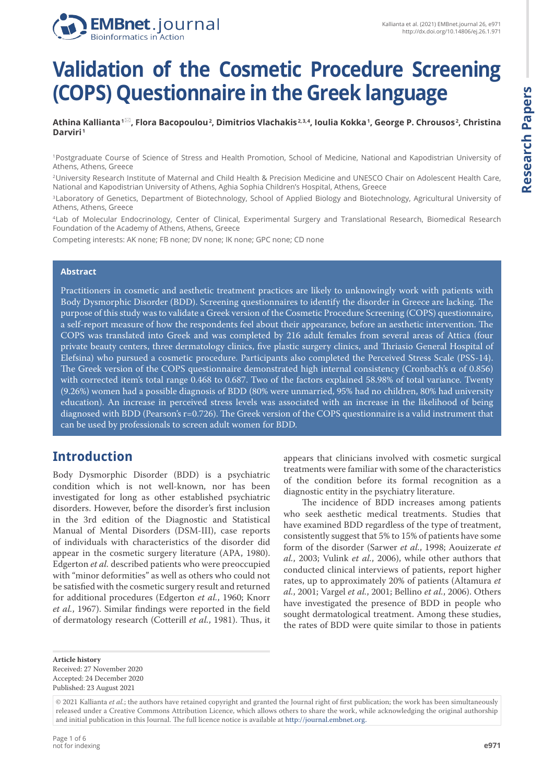



# **Validation of the Cosmetic Procedure Screening (COPS) Questionnaire in the Greek language**

**Athina Kallianta 1 , Flora Bacopoulou <sup>2</sup> , Dimitrios Vlachakis 2, 3, 4, Ioulia Kokka <sup>1</sup> , George P. Chrousos <sup>2</sup> , Christina Darviri <sup>1</sup>**

<sup>1</sup>Postgraduate Course of Science of Stress and Health Promotion, School of Medicine, National and Kapodistrian University of Athens, Athens, Greece

<sup>2</sup>University Research Institute of Maternal and Child Health & Precision Medicine and UNESCO Chair on Adolescent Health Care, National and Kapodistrian University of Athens, Aghia Sophia Children's Hospital, Athens, Greece

<sup>3</sup>Laboratory of Genetics, Department of Biotechnology, School of Applied Biology and Biotechnology, Agricultural University of Athens, Athens, Greece

<sup>4</sup>Lab of Molecular Endocrinology, Center of Clinical, Experimental Surgery and Translational Research, Biomedical Research Foundation of the Academy of Athens, Athens, Greece

Competing interests: AK none; FB none; DV none; IK none; GPC none; CD none

#### **Abstract**

Practitioners in cosmetic and aesthetic treatment practices are likely to unknowingly work with patients with Body Dysmorphic Disorder (BDD). Screening questionnaires to identify the disorder in Greece are lacking. The purpose of this study was to validate a Greek version of the Cosmetic Procedure Screening (COPS) questionnaire, a self-report measure of how the respondents feel about their appearance, before an aesthetic intervention. The COPS was translated into Greek and was completed by 216 adult females from several areas of Attica (four private beauty centers, three dermatology clinics, five plastic surgery clinics, and Thriasio General Hospital of Elefsina) who pursued a cosmetic procedure. Participants also completed the Perceived Stress Scale (PSS-14). The Greek version of the COPS questionnaire demonstrated high internal consistency (Cronbach's α of 0.856) with corrected item's total range 0.468 to 0.687. Two of the factors explained 58.98% of total variance. Twenty (9.26%) women had a possible diagnosis of BDD (80% were unmarried, 95% had no children, 80% had university education). An increase in perceived stress levels was associated with an increase in the likelihood of being diagnosed with BDD (Pearson's r=0.726). The Greek version of the COPS questionnaire is a valid instrument that can be used by professionals to screen adult women for BDD.

## **Introduction**

Body Dysmorphic Disorder (BDD) is a psychiatric condition which is not well-known, nor has been investigated for long as other established psychiatric disorders. However, before the disorder's first inclusion in the 3rd edition of the Diagnostic and Statistical Manual of Mental Disorders (DSM-III), case reports of individuals with characteristics of the disorder did appear in the cosmetic surgery literature (APA, 1980). Edgerton *et al.* described patients who were preoccupied with "minor deformities" as well as others who could not be satisfied with the cosmetic surgery result and returned for additional procedures (Edgerton *et al.*, 1960; Knorr *et al.*, 1967). Similar findings were reported in the field of dermatology research (Cotterill *et al.*, 1981). Thus, it

appears that clinicians involved with cosmetic surgical treatments were familiar with some of the characteristics of the condition before its formal recognition as a diagnostic entity in the psychiatry literature.

The incidence of BDD increases among patients who seek aesthetic medical treatments. Studies that have examined BDD regardless of the type of treatment, consistently suggest that 5% to 15% of patients have some form of the disorder (Sarwer *et al.*, 1998; Aouizerate *et al.*, 2003; Vulink *et al.*, 2006), while other authors that conducted clinical interviews of patients, report higher rates, up to approximately 20% of patients (Altamura *et al.*, 2001; Vargel *et al.*, 2001; Bellino *et al.*, 2006). Others have investigated the presence of BDD in people who sought dermatological treatment. Among these studies, the rates of BDD were quite similar to those in patients

**Article history** Received: 27 November 2020 Accepted: 24 December 2020 Published: 23 August 2021

<sup>© 2021</sup> Kallianta *et al.*; the authors have retained copyright and granted the Journal right of first publication; the work has been simultaneously released under a Creative Commons Attribution Licence, which allows others to share the work, while acknowledging the original authorship and initial publication in this Journal. The full licence notice is available at http://journal.embnet.org.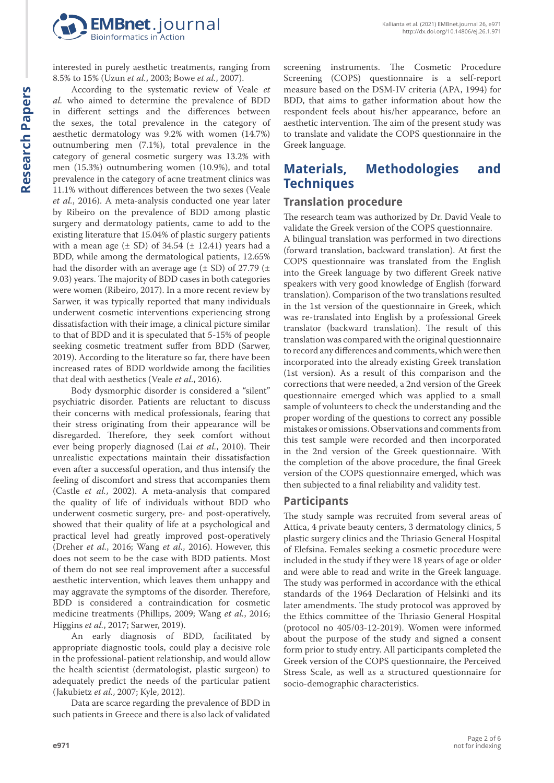

interested in purely aesthetic treatments, ranging from 8.5% to 15% (Uzun *et al.*, 2003; Bowe *et al.*, 2007).

According to the systematic review of Veale *et al.* who aimed to determine the prevalence of BDD in different settings and the differences between the sexes, the total prevalence in the category of aesthetic dermatology was 9.2% with women (14.7%) outnumbering men (7.1%), total prevalence in the category of general cosmetic surgery was 13.2% with men (15.3%) outnumbering women (10.9%), and total prevalence in the category of acne treatment clinics was 11.1% without differences between the two sexes (Veale *et al.*, 2016). A meta-analysis conducted one year later by Ribeiro on the prevalence of BDD among plastic surgery and dermatology patients, came to add to the existing literature that 15.04% of plastic surgery patients with a mean age  $(\pm SD)$  of 34.54  $(\pm 12.41)$  years had a BDD, while among the dermatological patients, 12.65% had the disorder with an average age  $(\pm$  SD) of 27.79  $(\pm$ 9.03) years. The majority of BDD cases in both categories were women (Ribeiro, 2017). In a more recent review by Sarwer, it was typically reported that many individuals underwent cosmetic interventions experiencing strong dissatisfaction with their image, a clinical picture similar to that of BDD and it is speculated that 5-15% of people seeking cosmetic treatment suffer from BDD (Sarwer, 2019). According to the literature so far, there have been increased rates of BDD worldwide among the facilities that deal with aesthetics (Veale *et al.*, 2016).

Body dysmorphic disorder is considered a "silent" psychiatric disorder. Patients are reluctant to discuss their concerns with medical professionals, fearing that their stress originating from their appearance will be disregarded. Therefore, they seek comfort without ever being properly diagnosed (Lai *et al.*, 2010). Their unrealistic expectations maintain their dissatisfaction even after a successful operation, and thus intensify the feeling of discomfort and stress that accompanies them (Castle *et al.*, 2002). A meta-analysis that compared the quality of life of individuals without BDD who underwent cosmetic surgery, pre- and post-operatively, showed that their quality of life at a psychological and practical level had greatly improved post-operatively (Dreher *et al.*, 2016; Wang *et al.*, 2016). However, this does not seem to be the case with BDD patients. Most of them do not see real improvement after a successful aesthetic intervention, which leaves them unhappy and may aggravate the symptoms of the disorder. Therefore, BDD is considered a contraindication for cosmetic medicine treatments (Phillips, 2009; Wang *et al.*, 2016; Higgins *et al.*, 2017; Sarwer, 2019).

An early diagnosis of BDD, facilitated by appropriate diagnostic tools, could play a decisive role in the professional-patient relationship, and would allow the health scientist (dermatologist, plastic surgeon) to adequately predict the needs of the particular patient (Jakubietz *et al.*, 2007; Kyle, 2012).

Data are scarce regarding the prevalence of BDD in such patients in Greece and there is also lack of validated screening instruments. The Cosmetic Procedure Screening (COPS) questionnaire is a self-report measure based on the DSM-IV criteria (APA, 1994) for BDD, that aims to gather information about how the respondent feels about his/her appearance, before an aesthetic intervention. The aim of the present study was to translate and validate the COPS questionnaire in the Greek language.

# **Materials, Methodologies and Techniques**

### **Translation procedure**

The research team was authorized by Dr. David Veale to validate the Greek version of the COPS questionnaire.

A bilingual translation was performed in two directions (forward translation, backward translation). At first the COPS questionnaire was translated from the English into the Greek language by two different Greek native speakers with very good knowledge of English (forward translation). Comparison of the two translations resulted in the 1st version of the questionnaire in Greek, which was re-translated into English by a professional Greek translator (backward translation). The result of this translation was compared with the original questionnaire to record any differences and comments, which were then incorporated into the already existing Greek translation (1st version). As a result of this comparison and the corrections that were needed, a 2nd version of the Greek questionnaire emerged which was applied to a small sample of volunteers to check the understanding and the proper wording of the questions to correct any possible mistakes or omissions. Observations and comments from this test sample were recorded and then incorporated in the 2nd version of the Greek questionnaire. With the completion of the above procedure, the final Greek version of the COPS questionnaire emerged, which was then subjected to a final reliability and validity test.

#### **Participants**

The study sample was recruited from several areas of Attica, 4 private beauty centers, 3 dermatology clinics, 5 plastic surgery clinics and the Thriasio General Hospital of Elefsina. Females seeking a cosmetic procedure were included in the study if they were 18 years of age or older and were able to read and write in the Greek language. The study was performed in accordance with the ethical standards of the 1964 Declaration of Helsinki and its later amendments. The study protocol was approved by the Ethics committee of the Thriasio General Hospital (protocol no 405/03-12-2019). Women were informed about the purpose of the study and signed a consent form prior to study entry. All participants completed the Greek version of the COPS questionnaire, the Perceived Stress Scale, as well as a structured questionnaire for socio-demographic characteristics.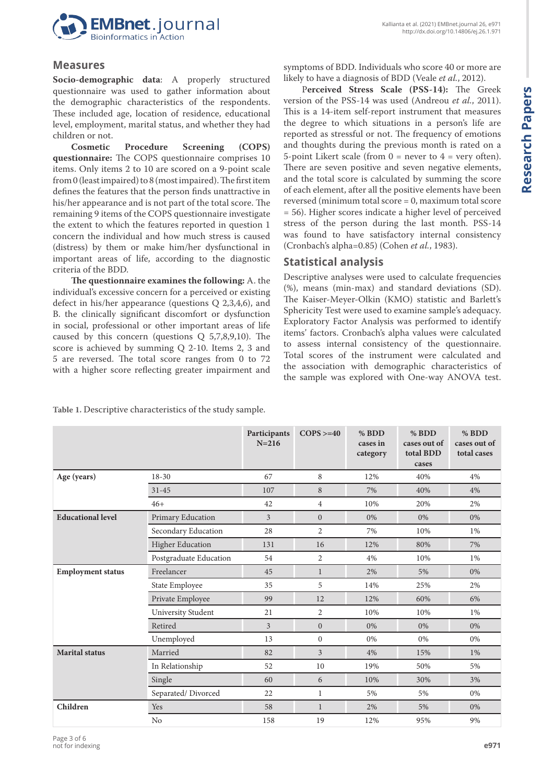

#### **Measures**

**Socio-demographic data**: A properly structured questionnaire was used to gather information about the demographic characteristics of the respondents. These included age, location of residence, educational level, employment, marital status, and whether they had children or not.<br>Cosmetic

Procedure Screening (COPS) **questionnaire:** The COPS questionnaire comprises 10 items. Only items 2 to 10 are scored on a 9-point scale from 0 (least impaired) to 8 (most impaired). The first item defines the features that the person finds unattractive in his/her appearance and is not part of the total score. The remaining 9 items of the COPS questionnaire investigate the extent to which the features reported in question 1 concern the individual and how much stress is caused (distress) by them or make him/her dysfunctional in important areas of life, according to the diagnostic criteria of the BDD.

**The questionnaire examines the following:** A. the individual's excessive concern for a perceived or existing defect in his/her appearance (questions Q 2,3,4,6), and B. the clinically significant discomfort or dysfunction in social, professional or other important areas of life caused by this concern (questions Q 5,7,8,9,10). The score is achieved by summing Q 2-10. Items 2, 3 and 5 are reversed. The total score ranges from 0 to 72 with a higher score reflecting greater impairment and

symptoms of BDD. Individuals who score 40 or more are likely to have a diagnosis of BDD (Veale *et al.*, 2012).

P**erceived Stress Scale (PSS-14):** The Greek version of the PSS-14 was used (Andreou *et al.*, 2011). This is a 14-item self-report instrument that measures the degree to which situations in a person's life are reported as stressful or not. The frequency of emotions and thoughts during the previous month is rated on a 5-point Likert scale (from  $0 =$  never to  $4 =$  very often). There are seven positive and seven negative elements, and the total score is calculated by summing the score of each element, after all the positive elements have been reversed (minimum total score = 0, maximum total score = 56). Higher scores indicate a higher level of perceived stress of the person during the last month. PSS-14 was found to have satisfactory internal consistency (Cronbach's alpha=0.85) (Cohen *et al.*, 1983).

### **Statistical analysis**

Descriptive analyses were used to calculate frequencies (%), means (min-max) and standard deviations (SD). The Kaiser-Meyer-Olkin (KMO) statistic and Barlett's Sphericity Test were used to examine sample's adequacy. Exploratory Factor Analysis was performed to identify items' factors. Cronbach's alpha values were calculated to assess internal consistency of the questionnaire. Total scores of the instrument were calculated and the association with demographic characteristics of the sample was explored with One-way ANOVA test.

|                          |                         | Participants<br>$N = 216$ | $COPS > = 40$  | % BDD<br>cases in<br>category | % BDD<br>cases out of<br>total BDD<br>cases | % BDD<br>cases out of<br>total cases |
|--------------------------|-------------------------|---------------------------|----------------|-------------------------------|---------------------------------------------|--------------------------------------|
| Age (years)              | 18-30                   | 67                        | 8              | 12%                           | 40%                                         | 4%                                   |
|                          | $31 - 45$               | 107                       | 8              | 7%                            | 40%                                         | 4%                                   |
|                          | $46+$                   | 42                        | $\overline{4}$ | 10%                           | 20%                                         | 2%                                   |
| <b>Educational level</b> | Primary Education       | 3                         | $\mathbf{0}$   | 0%                            | 0%                                          | 0%                                   |
|                          | Secondary Education     | 28                        | $\overline{2}$ | 7%                            | 10%                                         | 1%                                   |
|                          | <b>Higher Education</b> | 131                       | 16             | 12%                           | 80%                                         | 7%                                   |
|                          | Postgraduate Education  | 54                        | $\overline{2}$ | 4%                            | 10%                                         | 1%                                   |
| <b>Employment status</b> | Freelancer              | 45                        | $\mathbf{1}$   | 2%                            | 5%                                          | 0%                                   |
|                          | State Employee          | 35                        | 5              | 14%                           | 25%                                         | 2%                                   |
|                          | Private Employee        | 99                        | 12             | 12%                           | 60%                                         | 6%                                   |
|                          | University Student      | 21                        | $\overline{2}$ | 10%                           | 10%                                         | 1%                                   |
|                          | Retired                 | $\overline{3}$            | $\mathbf{0}$   | 0%                            | 0%                                          | 0%                                   |
|                          | Unemployed              | 13                        | $\mathbf{0}$   | 0%                            | 0%                                          | 0%                                   |
| <b>Marital</b> status    | Married                 | 82                        | $\overline{3}$ | 4%                            | 15%                                         | 1%                                   |
|                          | In Relationship         | 52                        | 10             | 19%                           | 50%                                         | 5%                                   |
|                          | Single                  | 60                        | 6              | 10%                           | 30%                                         | 3%                                   |
|                          | Separated/Divorced      | 22                        | $\mathbf{1}$   | 5%                            | 5%                                          | 0%                                   |
| Children                 | Yes                     | 58                        | $\mathbf{1}$   | 2%                            | 5%                                          | 0%                                   |
|                          | N <sub>o</sub>          | 158                       | 19             | 12%                           | 95%                                         | 9%                                   |

**Table 1.** Descriptive characteristics of the study sample.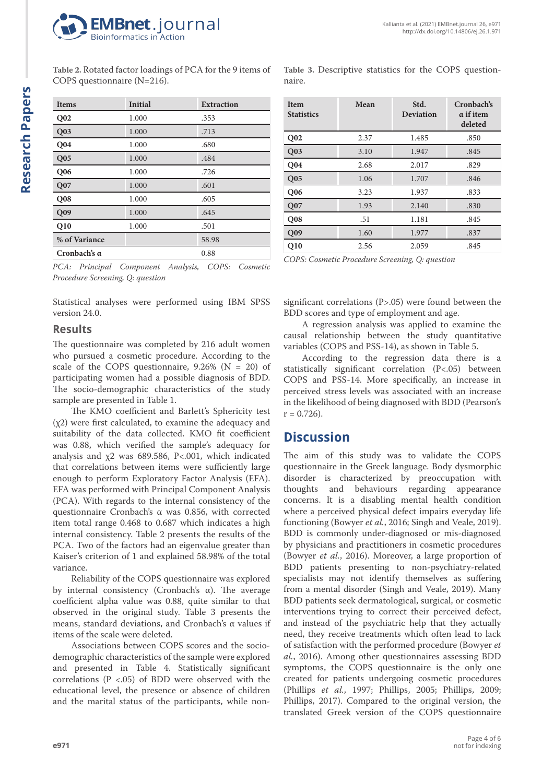

**Table 2.** Rotated factor loadings of PCA for the 9 items of COPS questionnaire (N=216).

| <b>Items</b>    | Initial | <b>Extraction</b> |
|-----------------|---------|-------------------|
| Q <sub>02</sub> | 1.000   | .353              |
| Q <sub>03</sub> | 1.000   | .713              |
| Q <sub>04</sub> | 1.000   | .680              |
| Q <sub>05</sub> | 1.000   | .484              |
| <b>Q06</b>      | 1.000   | .726              |
| Q <sub>07</sub> | 1.000   | .601              |
| Q <sub>08</sub> | 1.000   | .605              |
| Q09             | 1.000   | .645              |
| Q10             | 1.000   | .501              |
| % of Variance   |         | 58.98             |
| Cronbach's α    |         | 0.88              |

*PCA: Principal Component Analysis, COPS: Cosmetic Procedure Screening, Q: question*

Statistical analyses were performed using IBM SPSS version 24.0.

### **Results**

The questionnaire was completed by 216 adult women who pursued a cosmetic procedure. According to the scale of the COPS questionnaire,  $9.26\%$  (N = 20) of participating women had a possible diagnosis of BDD. The socio-demographic characteristics of the study sample are presented in Table 1.

The KMO coefficient and Barlett's Sphericity test (χ2) were first calculated, to examine the adequacy and suitability of the data collected. KMO fit coefficient was 0.88, which verified the sample's adequacy for analysis and χ2 was 689.586, P<.001, which indicated that correlations between items were sufficiently large enough to perform Exploratory Factor Analysis (EFA). EFA was performed with Principal Component Analysis (PCA). With regards to the internal consistency of the questionnaire Cronbach's α was 0.856, with corrected item total range 0.468 to 0.687 which indicates a high internal consistency. Table 2 presents the results of the PCA. Two of the factors had an eigenvalue greater than Kaiser's criterion of 1 and explained 58.98% of the total variance.

Reliability of the COPS questionnaire was explored by internal consistency (Cronbach's α). The average coefficient alpha value was 0.88, quite similar to that observed in the original study. Table 3 presents the means, standard deviations, and Cronbach's α values if items of the scale were deleted.

Associations between COPS scores and the sociodemographic characteristics of the sample were explored and presented in Table 4. Statistically significant correlations ( $P < .05$ ) of BDD were observed with the educational level, the presence or absence of children and the marital status of the participants, while non**Table 3.** Descriptive statistics for the COPS questionnaire.

| <b>Item</b><br><b>Statistics</b> | Mean | Std.<br>Deviation | Cronbach's<br>$\alpha$ if item<br>deleted |
|----------------------------------|------|-------------------|-------------------------------------------|
| Q <sub>02</sub>                  | 2.37 | 1.485             | .850                                      |
| Q03                              | 3.10 | 1.947             | .845                                      |
| <b>Q04</b>                       | 2.68 | 2.017             | .829                                      |
| Q05                              | 1.06 | 1.707             | .846                                      |
| Q06                              | 3.23 | 1.937             | .833                                      |
| Q07                              | 1.93 | 2.140             | .830                                      |
| Q <sub>08</sub>                  | .51  | 1.181             | .845                                      |
| Q <sub>09</sub>                  | 1.60 | 1.977             | .837                                      |
| Q10                              | 2.56 | 2.059             | .845                                      |

*COPS: Cosmetic Procedure Screening, Q: question*

significant correlations (P>.05) were found between the BDD scores and type of employment and age.

A regression analysis was applied to examine the causal relationship between the study quantitative variables (COPS and PSS-14), as shown in Table 5.

According to the regression data there is a statistically significant correlation (P<.05) between COPS and PSS-14. More specifically, an increase in perceived stress levels was associated with an increase in the likelihood of being diagnosed with BDD (Pearson's  $r = 0.726$ .

## **Discussion**

The aim of this study was to validate the COPS questionnaire in the Greek language. Body dysmorphic disorder is characterized by preoccupation with thoughts and behaviours regarding appearance concerns. It is a disabling mental health condition where a perceived physical defect impairs everyday life functioning (Bowyer *et al.*, 2016; Singh and Veale, 2019). BDD is commonly under-diagnosed or mis-diagnosed by physicians and practitioners in cosmetic procedures (Bowyer *et al.*, 2016). Moreover, a large proportion of BDD patients presenting to non-psychiatry-related specialists may not identify themselves as suffering from a mental disorder (Singh and Veale, 2019). Many BDD patients seek dermatological, surgical, or cosmetic interventions trying to correct their perceived defect, and instead of the psychiatric help that they actually need, they receive treatments which often lead to lack of satisfaction with the performed procedure (Bowyer *et al.*, 2016). Among other questionnaires assessing BDD symptoms, the COPS questionnaire is the only one created for patients undergoing cosmetic procedures (Phillips *et al.*, 1997; Phillips, 2005; Phillips, 2009; Phillips, 2017). Compared to the original version, the translated Greek version of the COPS questionnaire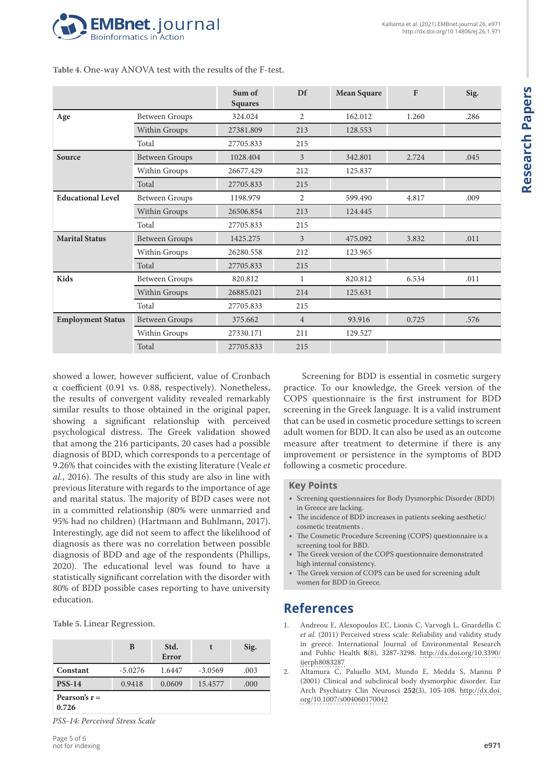

|                          |                       | Sum of<br><b>Squares</b> | Df             | <b>Mean Square</b> | F     | Sig. |
|--------------------------|-----------------------|--------------------------|----------------|--------------------|-------|------|
| Age                      | <b>Between Groups</b> | 324.024                  | 2              | 162.012            | 1.260 | .286 |
|                          | <b>Within Groups</b>  | 27381.809                | 213            | 128.553            |       |      |
|                          | Total                 | 27705.833                | 215            |                    |       |      |
| Source                   | <b>Between Groups</b> | 1028.404                 | 3              | 342.801            | 2.724 | .045 |
|                          | Within Groups         | 26677.429                | 212            | 125.837            |       |      |
|                          | Total                 | 27705.833                | 215            |                    |       |      |
| <b>Educational Level</b> | <b>Between Groups</b> | 1198.979                 | 2              | 599.490            | 4.817 | .009 |
|                          | Within Groups         | 26506.854                | 213            | 124.445            |       |      |
|                          | Total                 | 27705.833                | 215            |                    |       |      |
| <b>Marital Status</b>    | <b>Between Groups</b> | 1425.275                 | 3              | 475.092            | 3.832 | .011 |
|                          | Within Groups         | 26280.558                | 212            | 123.965            |       |      |
|                          | Total                 | 27705.833                | 215            |                    |       |      |
| Kids                     | <b>Between Groups</b> | 820.812                  | $\mathbf{1}$   | 820.812            | 6.534 | .011 |
|                          | Within Groups         | 26885.021                | 214            | 125.631            |       |      |
|                          | Total                 | 27705.833                | 215            |                    |       |      |
| <b>Employment Status</b> | <b>Between Groups</b> | 375.662                  | $\overline{4}$ | 93.916             | 0.725 | .576 |
|                          | Within Groups         | 27330.171                | 211            | 129.527            |       |      |
|                          | Total                 | 27705.833                | 215            |                    |       |      |

**Table 4.** One-way ANOVA test with the results of the F-test.

showed a lower, however sufficient, value of Cronbach α coefficient (0.91 vs. 0.88, respectively). Nonetheless, the results of convergent validity revealed remarkably similar results to those obtained in the original paper, showing a significant relationship with perceived psychological distress. The Greek validation showed that among the 216 participants, 20 cases had a possible diagnosis of BDD, which corresponds to a percentage of 9.26% that coincides with the existing literature (Veale *et al.*, 2016). The results of this study are also in line with previous literature with regards to the importance of age and marital status. The majority of BDD cases were not in a committed relationship (80% were unmarried and 95% had no children) (Hartmann and Buhlmann, 2017). Interestingly, age did not seem to affect the likelihood of diagnosis as there was no correlation between possible diagnosis of BDD and age of the respondents (Phillips, 2020). The educational level was found to have a statistically significant correlation with the disorder with 80% of BDD possible cases reporting to have university education.

**Table 5.** Linear Regression.

|                          | B         | Std.<br><b>Error</b> |           | Sig. |  |  |
|--------------------------|-----------|----------------------|-----------|------|--|--|
| Constant                 | $-5.0276$ | 1.6447               | $-3.0569$ | .003 |  |  |
| <b>PSS-14</b>            | 0.9418    | 0.0609               | 15.4577   | .000 |  |  |
| Pearson's $r =$<br>0.726 |           |                      |           |      |  |  |

*PSS-14: Perceived Stress Scale* 

Screening for BDD is essential in cosmetic surgery practice. To our knowledge, the Greek version of the COPS questionnaire is the first instrument for BDD screening in the Greek language. It is a valid instrument that can be used in cosmetic procedure settings to screen adult women for BDD. It can also be used as an outcome measure after treatment to determine if there is any improvement or persistence in the symptoms of BDD following a cosmetic procedure.

#### **Key Points**

- Screening questionnaires for Body Dysmorphic Disorder (BDD) in Greece are lacking.
- The incidence of BDD increases in patients seeking aesthetic/ cosmetic treatments .
- The Cosmetic Procedure Screening (COPS) questionnaire is a screening tool for BBD.
- The Greek version of the COPS questionnaire demonstrated high internal consistency.
- The Greek version of COPS can be used for screening adult women for BDD in Greece.

## **References**

- 1. Andreou E, Alexopoulos EC, Lionis C, Varvogli L, Gnardellis C *et al.* (2011) Perceived stress scale: Reliability and validity study in greece. International Journal of Environmental Research and Public Health **8**(8), 3287-3298. [http://dx.doi.org/10.3390/](http://dx.doi.org/10.3390/ijerph8083287) [ijerph8083287](http://dx.doi.org/10.3390/ijerph8083287)
- 2. Altamura C, Paluello MM, Mundo E, Medda S, Mannu P (2001) Clinical and subclinical body dysmorphic disorder. Eur Arch Psychiatry Clin Neurosci **252**(3), 105-108. [http://dx.doi.](http://dx.doi.org/10.1007/s004060170042) [org/10.1007/s004060170042](http://dx.doi.org/10.1007/s004060170042)